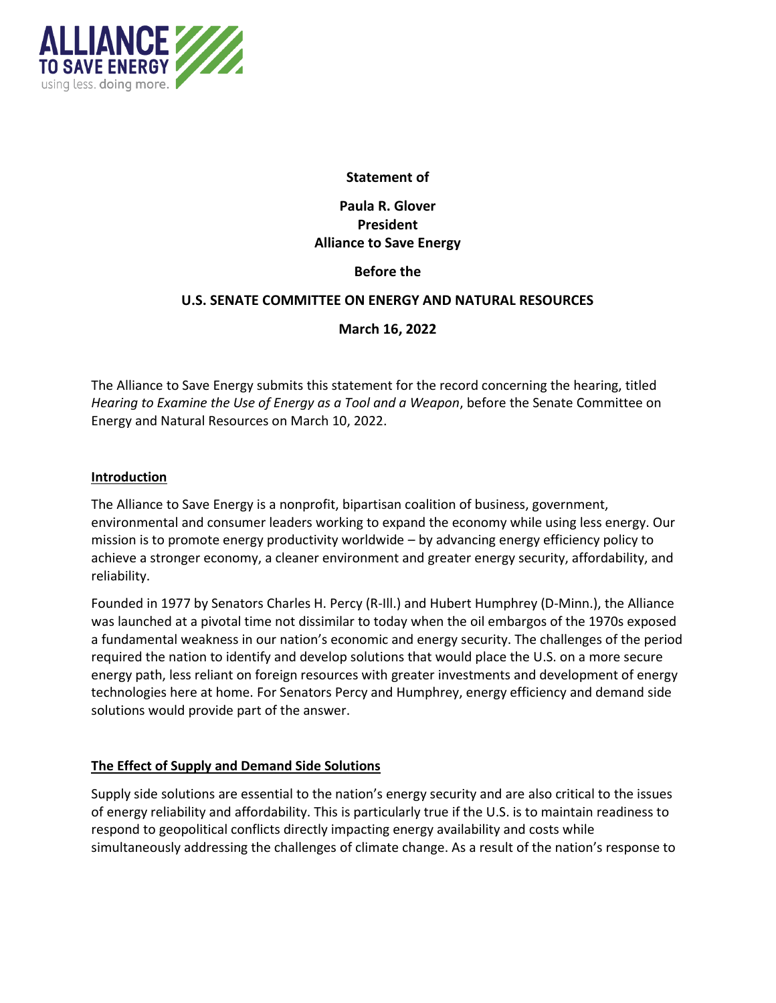

### **Statement of**

# **Paula R. Glover President Alliance to Save Energy**

## **Before the**

#### **U.S. SENATE COMMITTEE ON ENERGY AND NATURAL RESOURCES**

## **March 16, 2022**

The Alliance to Save Energy submits this statement for the record concerning the hearing, titled *Hearing to Examine the Use of Energy as a Tool and a Weapon*, before the Senate Committee on Energy and Natural Resources on March 10, 2022.

#### **Introduction**

The Alliance to Save Energy is a nonprofit, bipartisan coalition of business, government, environmental and consumer leaders working to expand the economy while using less energy. Our mission is to promote energy productivity worldwide – by advancing energy efficiency policy to achieve a stronger economy, a cleaner environment and greater energy security, affordability, and reliability.

Founded in 1977 by Senators Charles H. Percy (R-Ill.) and Hubert Humphrey (D-Minn.), the Alliance was launched at a pivotal time not dissimilar to today when the oil embargos of the 1970s exposed a fundamental weakness in our nation's economic and energy security. The challenges of the period required the nation to identify and develop solutions that would place the U.S. on a more secure energy path, less reliant on foreign resources with greater investments and development of energy technologies here at home. For Senators Percy and Humphrey, energy efficiency and demand side solutions would provide part of the answer.

#### **The Effect of Supply and Demand Side Solutions**

Supply side solutions are essential to the nation's energy security and are also critical to the issues of energy reliability and affordability. This is particularly true if the U.S. is to maintain readiness to respond to geopolitical conflicts directly impacting energy availability and costs while simultaneously addressing the challenges of climate change. As a result of the nation's response to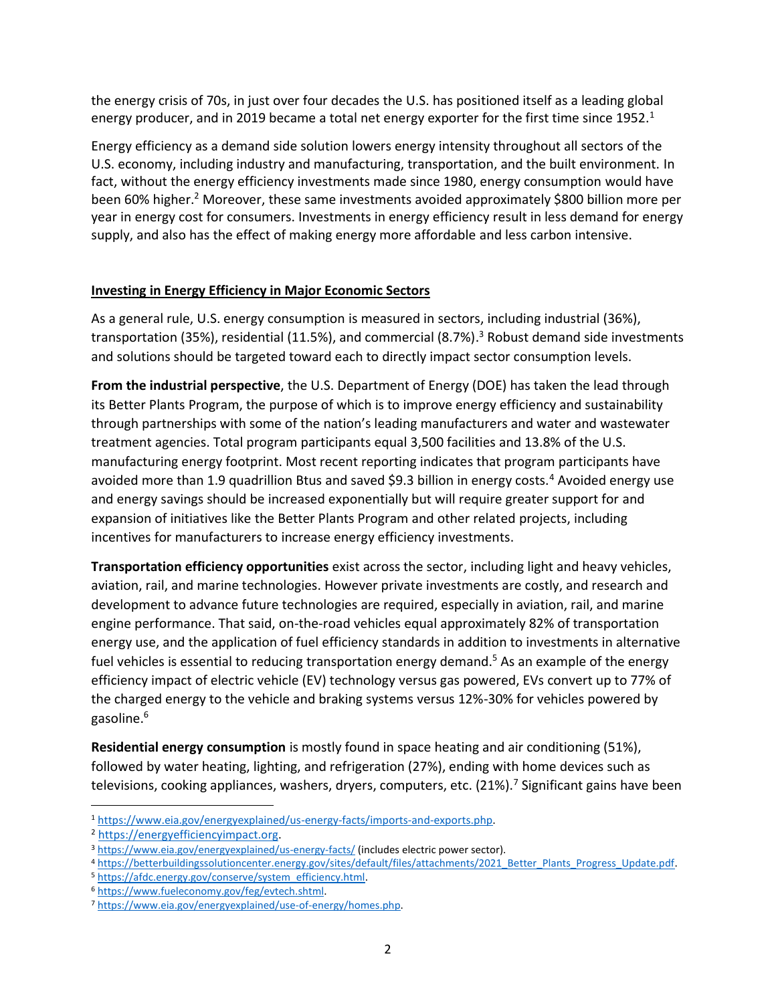the energy crisis of 70s, in just over four decades the U.S. has positioned itself as a leading global energy producer, and in 2019 became a total net energy exporter for the first time since 1952.<sup>1</sup>

Energy efficiency as a demand side solution lowers energy intensity throughout all sectors of the U.S. economy, including industry and manufacturing, transportation, and the built environment. In fact, without the energy efficiency investments made since 1980, energy consumption would have been 60% higher.<sup>2</sup> Moreover, these same investments avoided approximately \$800 billion more per year in energy cost for consumers. Investments in energy efficiency result in less demand for energy supply, and also has the effect of making energy more affordable and less carbon intensive.

## **Investing in Energy Efficiency in Major Economic Sectors**

As a general rule, U.S. energy consumption is measured in sectors, including industrial (36%), transportation (35%), residential (11.5%), and commercial (8.7%). <sup>3</sup> Robust demand side investments and solutions should be targeted toward each to directly impact sector consumption levels.

**From the industrial perspective**, the U.S. Department of Energy (DOE) has taken the lead through its Better Plants Program, the purpose of which is to improve energy efficiency and sustainability through partnerships with some of the nation's leading manufacturers and water and wastewater treatment agencies. Total program participants equal 3,500 facilities and 13.8% of the U.S. manufacturing energy footprint. Most recent reporting indicates that program participants have avoided more than 1.9 quadrillion Btus and saved \$9.3 billion in energy costs.<sup>4</sup> Avoided energy use and energy savings should be increased exponentially but will require greater support for and expansion of initiatives like the Better Plants Program and other related projects, including incentives for manufacturers to increase energy efficiency investments.

**Transportation efficiency opportunities** exist across the sector, including light and heavy vehicles, aviation, rail, and marine technologies. However private investments are costly, and research and development to advance future technologies are required, especially in aviation, rail, and marine engine performance. That said, on-the-road vehicles equal approximately 82% of transportation energy use, and the application of fuel efficiency standards in addition to investments in alternative fuel vehicles is essential to reducing transportation energy demand.<sup>5</sup> As an example of the energy efficiency impact of electric vehicle (EV) technology versus gas powered, EVs convert up to 77% of the charged energy to the vehicle and braking systems versus 12%-30% for vehicles powered by gasoline.<sup>6</sup>

**Residential energy consumption** is mostly found in space heating and air conditioning (51%), followed by water heating, lighting, and refrigeration (27%), ending with home devices such as televisions, cooking appliances, washers, dryers, computers, etc.  $(21\%)$ . Significant gains have been

<sup>1</sup> [https://www.eia.gov/energyexplained/us-energy-facts/imports-and-exports.php.](https://www.eia.gov/energyexplained/us-energy-facts/imports-and-exports.php)

<sup>2</sup> [https://energyefficiencyimpact.org.](https://energyefficiencyimpact.org/)

<sup>&</sup>lt;sup>3</sup> <https://www.eia.gov/energyexplained/us-energy-facts/> (includes electric power sector).

<sup>4</sup> https://betterbuildingssolutioncenter.energy.gov/sites/default/files/attachments/2021\_Better\_Plants\_Progress\_Update.pdf.

<sup>5</sup> [https://afdc.energy.gov/conserve/system\\_efficiency.html.](https://afdc.energy.gov/conserve/system_efficiency.html)

<sup>6</sup> [https://www.fueleconomy.gov/feg/evtech.shtml.](https://www.fueleconomy.gov/feg/evtech.shtml)

<sup>7</sup> [https://www.eia.gov/energyexplained/use-of-energy/homes.php.](https://www.eia.gov/energyexplained/use-of-energy/homes.php)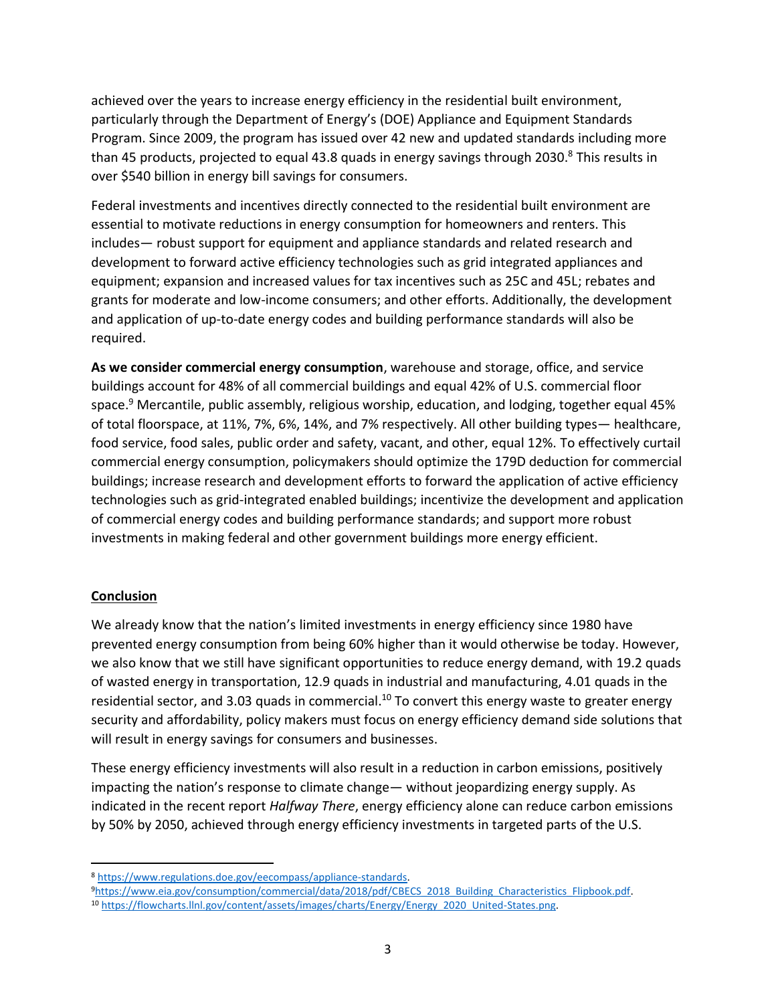achieved over the years to increase energy efficiency in the residential built environment, particularly through the Department of Energy's (DOE) Appliance and Equipment Standards Program. Since 2009, the program has issued over 42 new and updated standards including more than 45 products, projected to equal 43.8 quads in energy savings through 2030. $8$  This results in over \$540 billion in energy bill savings for consumers.

Federal investments and incentives directly connected to the residential built environment are essential to motivate reductions in energy consumption for homeowners and renters. This includes— robust support for equipment and appliance standards and related research and development to forward active efficiency technologies such as grid integrated appliances and equipment; expansion and increased values for tax incentives such as 25C and 45L; rebates and grants for moderate and low-income consumers; and other efforts. Additionally, the development and application of up-to-date energy codes and building performance standards will also be required.

**As we consider commercial energy consumption**, warehouse and storage, office, and service buildings account for 48% of all commercial buildings and equal 42% of U.S. commercial floor space. <sup>9</sup> Mercantile, public assembly, religious worship, education, and lodging, together equal 45% of total floorspace, at 11%, 7%, 6%, 14%, and 7% respectively. All other building types— healthcare, food service, food sales, public order and safety, vacant, and other, equal 12%. To effectively curtail commercial energy consumption, policymakers should optimize the 179D deduction for commercial buildings; increase research and development efforts to forward the application of active efficiency technologies such as grid-integrated enabled buildings; incentivize the development and application of commercial energy codes and building performance standards; and support more robust investments in making federal and other government buildings more energy efficient.

## **Conclusion**

We already know that the nation's limited investments in energy efficiency since 1980 have prevented energy consumption from being 60% higher than it would otherwise be today. However, we also know that we still have significant opportunities to reduce energy demand, with 19.2 quads of wasted energy in transportation, 12.9 quads in industrial and manufacturing, 4.01 quads in the residential sector, and 3.03 quads in commercial.<sup>10</sup> To convert this energy waste to greater energy security and affordability, policy makers must focus on energy efficiency demand side solutions that will result in energy savings for consumers and businesses.

These energy efficiency investments will also result in a reduction in carbon emissions, positively impacting the nation's response to climate change— without jeopardizing energy supply. As indicated in the recent report *Halfway There*, energy efficiency alone can reduce carbon emissions by 50% by 2050, achieved through energy efficiency investments in targeted parts of the U.S.

<sup>8</sup> [https://www.regulations.doe.gov/eecompass/appliance-standards.](https://www.regulations.doe.gov/eecompass/appliance-standards)

<sup>9</sup>[https://www.eia.gov/consumption/commercial/data/2018/pdf/CBECS\\_2018\\_Building\\_Characteristics\\_Flipbook.pdf.](https://www.eia.gov/consumption/commercial/data/2018/pdf/CBECS_2018_Building_Characteristics_Flipbook.pdf)

<sup>10</sup> [https://flowcharts.llnl.gov/content/assets/images/charts/Energy/Energy\\_2020\\_United-States.png.](https://flowcharts.llnl.gov/content/assets/images/charts/Energy/Energy_2020_United-States.png)